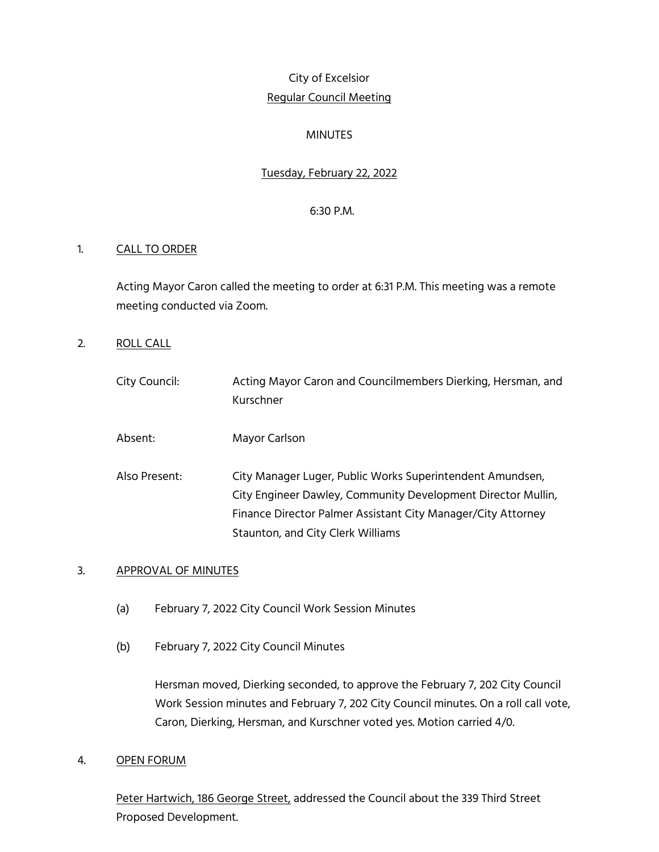# City of Excelsior Regular Council Meeting

## MINUTES

## Tuesday, February 22, 2022

#### 6:30 P.M.

## 1. CALL TO ORDER

Acting Mayor Caron called the meeting to order at 6:31 P.M. This meeting was a remote meeting conducted via Zoom.

2. ROLL CALL

| City Council: | Acting Mayor Caron and Councilmembers Dierking, Hersman, and<br>Kurschner                                                                                                                                                      |
|---------------|--------------------------------------------------------------------------------------------------------------------------------------------------------------------------------------------------------------------------------|
| Absent:       | Mayor Carlson                                                                                                                                                                                                                  |
| Also Present: | City Manager Luger, Public Works Superintendent Amundsen,<br>City Engineer Dawley, Community Development Director Mullin,<br>Finance Director Palmer Assistant City Manager/City Attorney<br>Staunton, and City Clerk Williams |

#### 3. APPROVAL OF MINUTES

- (a) February 7, 2022 City Council Work Session Minutes
- (b) February 7, 2022 City Council Minutes

Hersman moved, Dierking seconded, to approve the February 7, 202 City Council Work Session minutes and February 7, 202 City Council minutes. On a roll call vote, Caron, Dierking, Hersman, and Kurschner voted yes. Motion carried 4/0.

4. OPEN FORUM

Peter Hartwich, 186 George Street, addressed the Council about the 339 Third Street Proposed Development.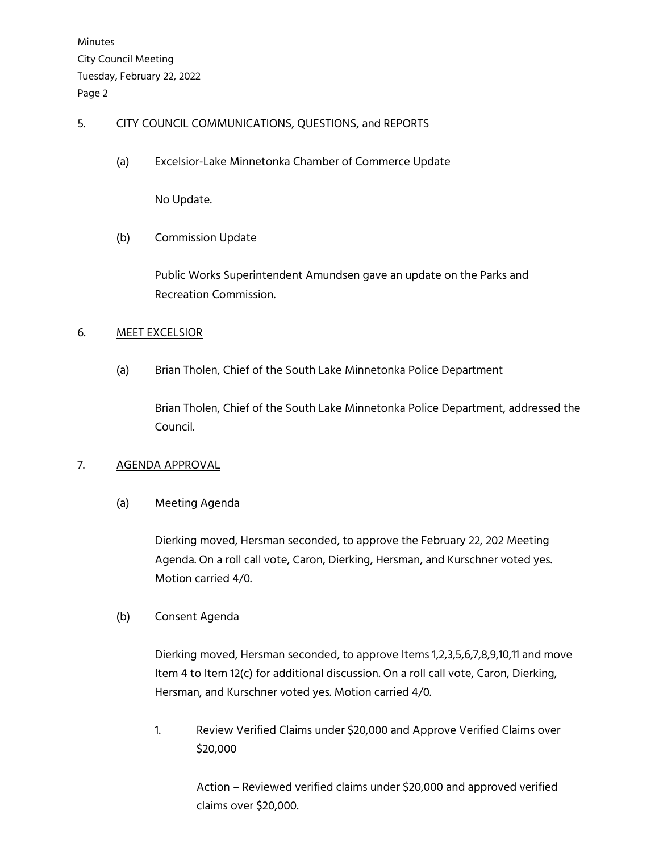## 5. CITY COUNCIL COMMUNICATIONS, QUESTIONS, and REPORTS

(a) Excelsior-Lake Minnetonka Chamber of Commerce Update

No Update.

(b) Commission Update

Public Works Superintendent Amundsen gave an update on the Parks and Recreation Commission.

## 6. MEET EXCELSIOR

(a) Brian Tholen, Chief of the South Lake Minnetonka Police Department

Brian Tholen, Chief of the South Lake Minnetonka Police Department, addressed the Council.

## 7. AGENDA APPROVAL

(a) Meeting Agenda

Dierking moved, Hersman seconded, to approve the February 22, 202 Meeting Agenda. On a roll call vote, Caron, Dierking, Hersman, and Kurschner voted yes. Motion carried 4/0.

## (b) Consent Agenda

Dierking moved, Hersman seconded, to approve Items 1,2,3,5,6,7,8,9,10,11 and move Item 4 to Item 12(c) for additional discussion. On a roll call vote, Caron, Dierking, Hersman, and Kurschner voted yes. Motion carried 4/0.

1. Review Verified Claims under \$20,000 and Approve Verified Claims over \$20,000

> Action – Reviewed verified claims under \$20,000 and approved verified claims over \$20,000.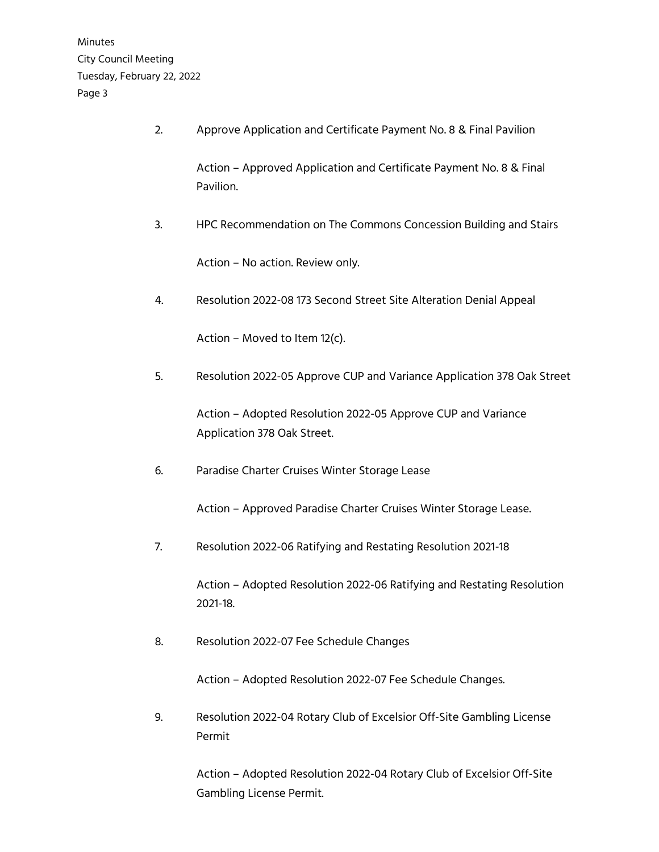2. Approve Application and Certificate Payment No. 8 & Final Pavilion

Action – Approved Application and Certificate Payment No. 8 & Final Pavilion.

3. HPC Recommendation on The Commons Concession Building and Stairs

Action – No action. Review only.

4. Resolution 2022-08 173 Second Street Site Alteration Denial Appeal

Action – Moved to Item 12(c).

5. Resolution 2022-05 Approve CUP and Variance Application 378 Oak Street

Action – Adopted Resolution 2022-05 Approve CUP and Variance Application 378 Oak Street.

6. Paradise Charter Cruises Winter Storage Lease

Action – Approved Paradise Charter Cruises Winter Storage Lease.

7. Resolution 2022-06 Ratifying and Restating Resolution 2021-18

Action – Adopted Resolution 2022-06 Ratifying and Restating Resolution 2021-18.

8. Resolution 2022-07 Fee Schedule Changes

Action – Adopted Resolution 2022-07 Fee Schedule Changes.

9. Resolution 2022-04 Rotary Club of Excelsior Off-Site Gambling License Permit

> Action – Adopted Resolution 2022-04 Rotary Club of Excelsior Off-Site Gambling License Permit.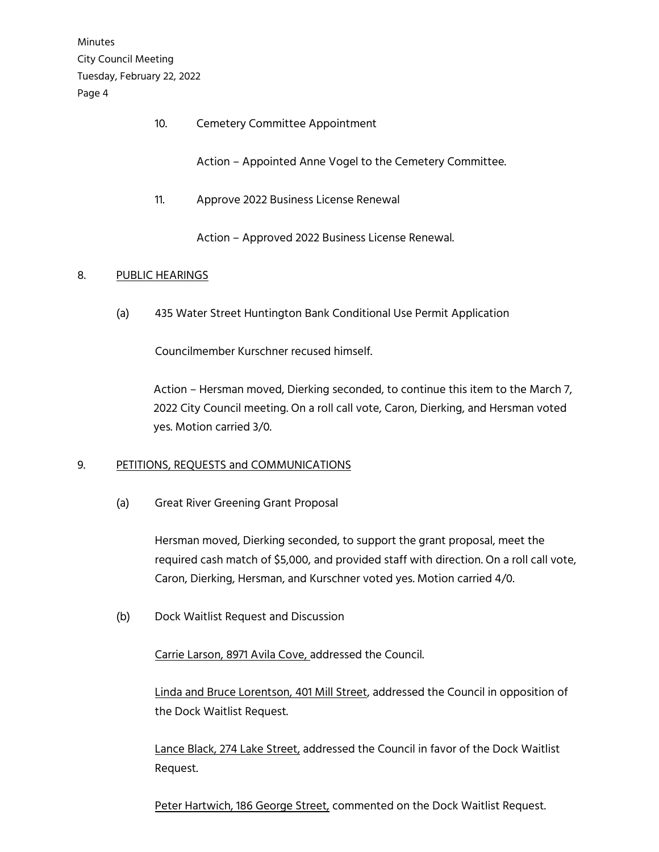10. Cemetery Committee Appointment

Action – Appointed Anne Vogel to the Cemetery Committee.

11. Approve 2022 Business License Renewal

Action – Approved 2022 Business License Renewal.

## 8. PUBLIC HEARINGS

(a) 435 Water Street Huntington Bank Conditional Use Permit Application

Councilmember Kurschner recused himself.

 Action – Hersman moved, Dierking seconded, to continue this item to the March 7, 2022 City Council meeting. On a roll call vote, Caron, Dierking, and Hersman voted yes. Motion carried 3/0.

## 9. PETITIONS, REQUESTS and COMMUNICATIONS

(a) Great River Greening Grant Proposal

Hersman moved, Dierking seconded, to support the grant proposal, meet the required cash match of \$5,000, and provided staff with direction. On a roll call vote, Caron, Dierking, Hersman, and Kurschner voted yes. Motion carried 4/0.

(b) Dock Waitlist Request and Discussion

Carrie Larson, 8971 Avila Cove, addressed the Council.

Linda and Bruce Lorentson, 401 Mill Street, addressed the Council in opposition of the Dock Waitlist Request.

Lance Black, 274 Lake Street, addressed the Council in favor of the Dock Waitlist Request.

Peter Hartwich, 186 George Street, commented on the Dock Waitlist Request.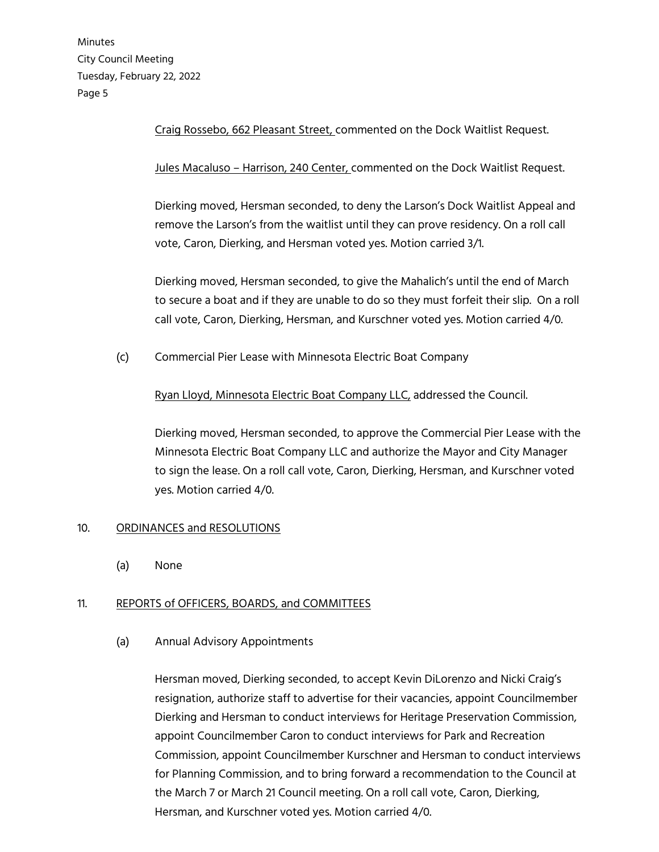Craig Rossebo, 662 Pleasant Street, commented on the Dock Waitlist Request.

Jules Macaluso – Harrison, 240 Center, commented on the Dock Waitlist Request.

Dierking moved, Hersman seconded, to deny the Larson's Dock Waitlist Appeal and remove the Larson's from the waitlist until they can prove residency. On a roll call vote, Caron, Dierking, and Hersman voted yes. Motion carried 3/1.

Dierking moved, Hersman seconded, to give the Mahalich's until the end of March to secure a boat and if they are unable to do so they must forfeit their slip. On a roll call vote, Caron, Dierking, Hersman, and Kurschner voted yes. Motion carried 4/0.

(c) Commercial Pier Lease with Minnesota Electric Boat Company

Ryan Lloyd, Minnesota Electric Boat Company LLC, addressed the Council.

Dierking moved, Hersman seconded, to approve the Commercial Pier Lease with the Minnesota Electric Boat Company LLC and authorize the Mayor and City Manager to sign the lease. On a roll call vote, Caron, Dierking, Hersman, and Kurschner voted yes. Motion carried 4/0.

#### 10. ORDINANCES and RESOLUTIONS

(a) None

#### 11. REPORTS of OFFICERS, BOARDS, and COMMITTEES

#### (a) Annual Advisory Appointments

Hersman moved, Dierking seconded, to accept Kevin DiLorenzo and Nicki Craig's resignation, authorize staff to advertise for their vacancies, appoint Councilmember Dierking and Hersman to conduct interviews for Heritage Preservation Commission, appoint Councilmember Caron to conduct interviews for Park and Recreation Commission, appoint Councilmember Kurschner and Hersman to conduct interviews for Planning Commission, and to bring forward a recommendation to the Council at the March 7 or March 21 Council meeting. On a roll call vote, Caron, Dierking, Hersman, and Kurschner voted yes. Motion carried 4/0.